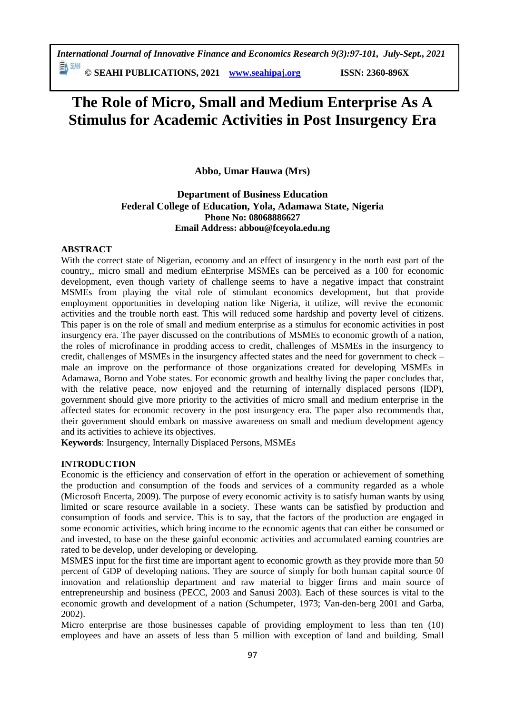*International Journal of Innovative Finance and Economics Research 9(3):97-101, July-Sept., 2021*

EN SEAH **© SEAHI PUBLICATIONS, 2021 [www.seahipaj.org](http://www.seahipaj.org/) ISSN: 2360-896X**

# **The Role of Micro, Small and Medium Enterprise As A Stimulus for Academic Activities in Post Insurgency Era**

**Abbo, Umar Hauwa (Mrs)**

# **Department of Business Education Federal College of Education, Yola, Adamawa State, Nigeria Phone No: 08068886627 Email Address: [abbou@fceyola.edu.ng](mailto:abbou@fceyola.edu.ng)**

#### **ABSTRACT**

With the correct state of Nigerian, economy and an effect of insurgency in the north east part of the country,, micro small and medium eEnterprise MSMEs can be perceived as a 100 for economic development, even though variety of challenge seems to have a negative impact that constraint MSMEs from playing the vital role of stimulant economics development, but that provide employment opportunities in developing nation like Nigeria, it utilize, will revive the economic activities and the trouble north east. This will reduced some hardship and poverty level of citizens. This paper is on the role of small and medium enterprise as a stimulus for economic activities in post insurgency era. The payer discussed on the contributions of MSMEs to economic growth of a nation, the roles of microfinance in prodding access to credit, challenges of MSMEs in the insurgency to credit, challenges of MSMEs in the insurgency affected states and the need for government to check – male an improve on the performance of those organizations created for developing MSMEs in Adamawa, Borno and Yobe states. For economic growth and healthy living the paper concludes that, with the relative peace, now enjoyed and the returning of internally displaced persons (IDP), government should give more priority to the activities of micro small and medium enterprise in the affected states for economic recovery in the post insurgency era. The paper also recommends that, their government should embark on massive awareness on small and medium development agency and its activities to achieve its objectives.

**Keywords**: Insurgency, Internally Displaced Persons, MSMEs

#### **INTRODUCTION**

Economic is the efficiency and conservation of effort in the operation or achievement of something the production and consumption of the foods and services of a community regarded as a whole (Microsoft Encerta, 2009). The purpose of every economic activity is to satisfy human wants by using limited or scare resource available in a society. These wants can be satisfied by production and consumption of foods and service. This is to say, that the factors of the production are engaged in some economic activities, which bring income to the economic agents that can either be consumed or and invested, to base on the these gainful economic activities and accumulated earning countries are rated to be develop, under developing or developing.

MSMES input for the first time are important agent to economic growth as they provide more than 50 percent of GDP of developing nations. They are source of simply for both human capital source 0f innovation and relationship department and raw material to bigger firms and main source of entrepreneurship and business (PECC, 2003 and Sanusi 2003). Each of these sources is vital to the economic growth and development of a nation (Schumpeter, 1973; Van-den-berg 2001 and Garba, 2002).

Micro enterprise are those businesses capable of providing employment to less than ten (10) employees and have an assets of less than 5 million with exception of land and building. Small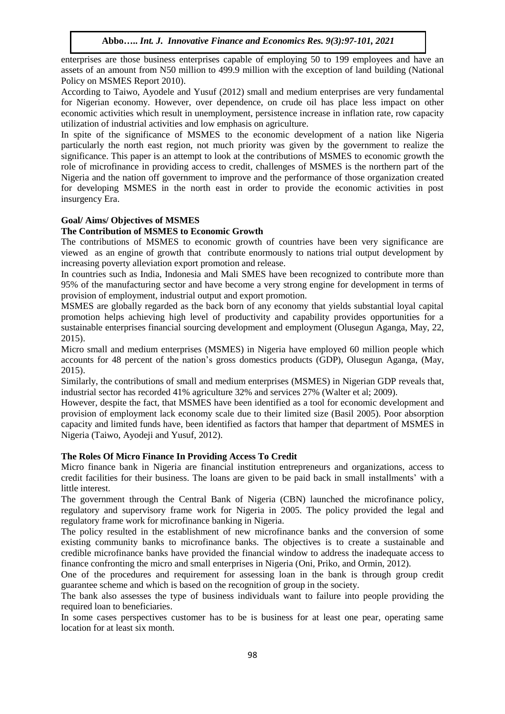enterprises are those business enterprises capable of employing 50 to 199 employees and have an assets of an amount from N50 million to 499.9 million with the exception of land building (National Policy on MSMES Report 2010).

According to Taiwo, Ayodele and Yusuf (2012) small and medium enterprises are very fundamental for Nigerian economy. However, over dependence, on crude oil has place less impact on other economic activities which result in unemployment, persistence increase in inflation rate, row capacity utilization of industrial activities and low emphasis on agriculture.

In spite of the significance of MSMES to the economic development of a nation like Nigeria particularly the north east region, not much priority was given by the government to realize the significance. This paper is an attempt to look at the contributions of MSMES to economic growth the role of microfinance in providing access to credit, challenges of MSMES is the northern part of the Nigeria and the nation off government to improve and the performance of those organization created for developing MSMES in the north east in order to provide the economic activities in post insurgency Era.

## **Goal/ Aims/ Objectives of MSMES**

#### **The Contribution of MSMES to Economic Growth**

The contributions of MSMES to economic growth of countries have been very significance are viewed as an engine of growth that contribute enormously to nations trial output development by increasing poverty alleviation export promotion and release.

In countries such as India, Indonesia and Mali SMES have been recognized to contribute more than 95% of the manufacturing sector and have become a very strong engine for development in terms of provision of employment, industrial output and export promotion.

MSMES are globally regarded as the back born of any economy that yields substantial loyal capital promotion helps achieving high level of productivity and capability provides opportunities for a sustainable enterprises financial sourcing development and employment (Olusegun Aganga, May, 22, 2015).

Micro small and medium enterprises (MSMES) in Nigeria have employed 60 million people which accounts for 48 percent of the nation's gross domestics products (GDP), Olusegun Aganga, (May, 2015).

Similarly, the contributions of small and medium enterprises (MSMES) in Nigerian GDP reveals that, industrial sector has recorded 41% agriculture 32% and services 27% (Walter et al; 2009).

However, despite the fact, that MSMES have been identified as a tool for economic development and provision of employment lack economy scale due to their limited size (Basil 2005). Poor absorption capacity and limited funds have, been identified as factors that hamper that department of MSMES in Nigeria (Taiwo, Ayodeji and Yusuf, 2012).

#### **The Roles Of Micro Finance In Providing Access To Credit**

Micro finance bank in Nigeria are financial institution entrepreneurs and organizations, access to credit facilities for their business. The loans are given to be paid back in small installments' with a little interest.

The government through the Central Bank of Nigeria (CBN) launched the microfinance policy, regulatory and supervisory frame work for Nigeria in 2005. The policy provided the legal and regulatory frame work for microfinance banking in Nigeria.

The policy resulted in the establishment of new microfinance banks and the conversion of some existing community banks to microfinance banks. The objectives is to create a sustainable and credible microfinance banks have provided the financial window to address the inadequate access to finance confronting the micro and small enterprises in Nigeria (Oni, Priko, and Ormin, 2012).

One of the procedures and requirement for assessing loan in the bank is through group credit guarantee scheme and which is based on the recognition of group in the society.

The bank also assesses the type of business individuals want to failure into people providing the required loan to beneficiaries.

In some cases perspectives customer has to be is business for at least one pear, operating same location for at least six month.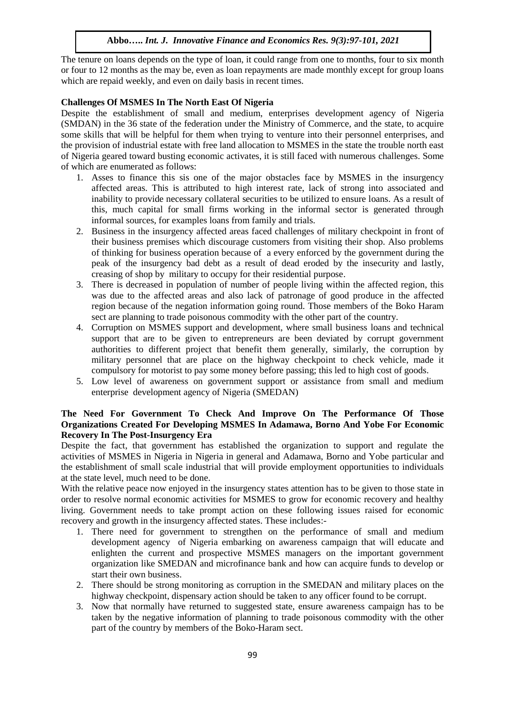#### **Abbo…..** *Int. J. Innovative Finance and Economics Res. 9(3):97-101, 2021*

The tenure on loans depends on the type of loan, it could range from one to months, four to six month or four to 12 months as the may be, even as loan repayments are made monthly except for group loans which are repaid weekly, and even on daily basis in recent times.

#### **Challenges Of MSMES In The North East Of Nigeria**

Despite the establishment of small and medium, enterprises development agency of Nigeria (SMDAN) in the 36 state of the federation under the Ministry of Commerce, and the state, to acquire some skills that will be helpful for them when trying to venture into their personnel enterprises, and the provision of industrial estate with free land allocation to MSMES in the state the trouble north east of Nigeria geared toward busting economic activates, it is still faced with numerous challenges. Some of which are enumerated as follows:

- 1. Asses to finance this sis one of the major obstacles face by MSMES in the insurgency affected areas. This is attributed to high interest rate, lack of strong into associated and inability to provide necessary collateral securities to be utilized to ensure loans. As a result of this, much capital for small firms working in the informal sector is generated through informal sources, for examples loans from family and trials.
- 2. Business in the insurgency affected areas faced challenges of military checkpoint in front of their business premises which discourage customers from visiting their shop. Also problems of thinking for business operation because of a every enforced by the government during the peak of the insurgency bad debt as a result of dead eroded by the insecurity and lastly, creasing of shop by military to occupy for their residential purpose.
- 3. There is decreased in population of number of people living within the affected region, this was due to the affected areas and also lack of patronage of good produce in the affected region because of the negation information going round. Those members of the Boko Haram sect are planning to trade poisonous commodity with the other part of the country.
- 4. Corruption on MSMES support and development, where small business loans and technical support that are to be given to entrepreneurs are been deviated by corrupt government authorities to different project that benefit them generally, similarly, the corruption by military personnel that are place on the highway checkpoint to check vehicle, made it compulsory for motorist to pay some money before passing; this led to high cost of goods.
- 5. Low level of awareness on government support or assistance from small and medium enterprise development agency of Nigeria (SMEDAN)

#### **The Need For Government To Check And Improve On The Performance Of Those Organizations Created For Developing MSMES In Adamawa, Borno And Yobe For Economic Recovery In The Post-Insurgency Era**

Despite the fact, that government has established the organization to support and regulate the activities of MSMES in Nigeria in Nigeria in general and Adamawa, Borno and Yobe particular and the establishment of small scale industrial that will provide employment opportunities to individuals at the state level, much need to be done.

With the relative peace now enjoyed in the insurgency states attention has to be given to those state in order to resolve normal economic activities for MSMES to grow for economic recovery and healthy living. Government needs to take prompt action on these following issues raised for economic recovery and growth in the insurgency affected states. These includes:-

- 1. There need for government to strengthen on the performance of small and medium development agency of Nigeria embarking on awareness campaign that will educate and enlighten the current and prospective MSMES managers on the important government organization like SMEDAN and microfinance bank and how can acquire funds to develop or start their own business.
- 2. There should be strong monitoring as corruption in the SMEDAN and military places on the highway checkpoint, dispensary action should be taken to any officer found to be corrupt.
- 3. Now that normally have returned to suggested state, ensure awareness campaign has to be taken by the negative information of planning to trade poisonous commodity with the other part of the country by members of the Boko-Haram sect.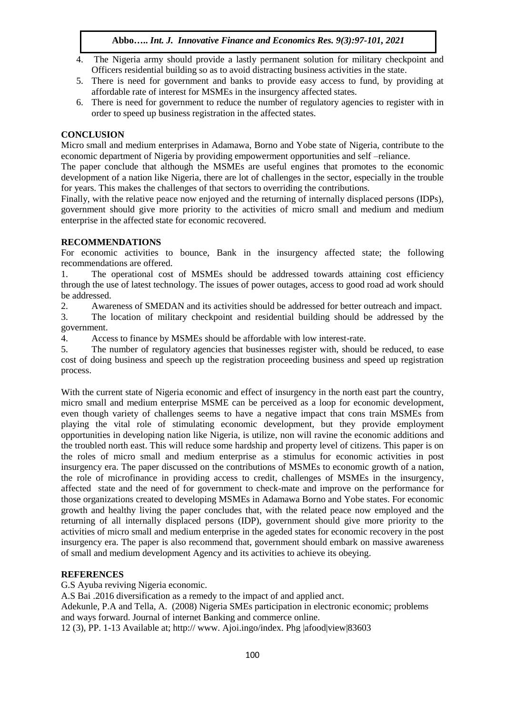# **Abbo…..** *Int. J. Innovative Finance and Economics Res. 9(3):97-101, 2021*

- 4. The Nigeria army should provide a lastly permanent solution for military checkpoint and Officers residential building so as to avoid distracting business activities in the state.
- 5. There is need for government and banks to provide easy access to fund, by providing at affordable rate of interest for MSMEs in the insurgency affected states.
- 6. There is need for government to reduce the number of regulatory agencies to register with in order to speed up business registration in the affected states.

## **CONCLUSION**

Micro small and medium enterprises in Adamawa, Borno and Yobe state of Nigeria, contribute to the economic department of Nigeria by providing empowerment opportunities and self –reliance.

The paper conclude that although the MSMEs are useful engines that promotes to the economic development of a nation like Nigeria, there are lot of challenges in the sector, especially in the trouble for years. This makes the challenges of that sectors to overriding the contributions.

Finally, with the relative peace now enjoyed and the returning of internally displaced persons (IDPs), government should give more priority to the activities of micro small and medium and medium enterprise in the affected state for economic recovered.

## **RECOMMENDATIONS**

For economic activities to bounce, Bank in the insurgency affected state; the following recommendations are offered.

1. The operational cost of MSMEs should be addressed towards attaining cost efficiency through the use of latest technology. The issues of power outages, access to good road ad work should be addressed.

2. Awareness of SMEDAN and its activities should be addressed for better outreach and impact.

3. The location of military checkpoint and residential building should be addressed by the government.

4. Access to finance by MSMEs should be affordable with low interest-rate.

5. The number of regulatory agencies that businesses register with, should be reduced, to ease cost of doing business and speech up the registration proceeding business and speed up registration process.

With the current state of Nigeria economic and effect of insurgency in the north east part the country, micro small and medium enterprise MSME can be perceived as a loop for economic development, even though variety of challenges seems to have a negative impact that cons train MSMEs from playing the vital role of stimulating economic development, but they provide employment opportunities in developing nation like Nigeria, is utilize, non will ravine the economic additions and the troubled north east. This will reduce some hardship and property level of citizens. This paper is on the roles of micro small and medium enterprise as a stimulus for economic activities in post insurgency era. The paper discussed on the contributions of MSMEs to economic growth of a nation, the role of microfinance in providing access to credit, challenges of MSMEs in the insurgency, affected state and the need of for government to check-mate and improve on the performance for those organizations created to developing MSMEs in Adamawa Borno and Yobe states. For economic growth and healthy living the paper concludes that, with the related peace now employed and the returning of all internally displaced persons (IDP), government should give more priority to the activities of micro small and medium enterprise in the ageded states for economic recovery in the post insurgency era. The paper is also recommend that, government should embark on massive awareness of small and medium development Agency and its activities to achieve its obeying.

# **REFERENCES**

G.S Ayuba reviving Nigeria economic.

A.S Bai .2016 diversification as a remedy to the impact of and applied anct.

Adekunle, P.A and Tella, A. (2008) Nigeria SMEs participation in electronic economic; problems and ways forward. Journal of internet Banking and commerce online.

12 (3), PP. 1-13 Available at; http:// www. Ajoi.ingo/index. Phg |afood|view|83603